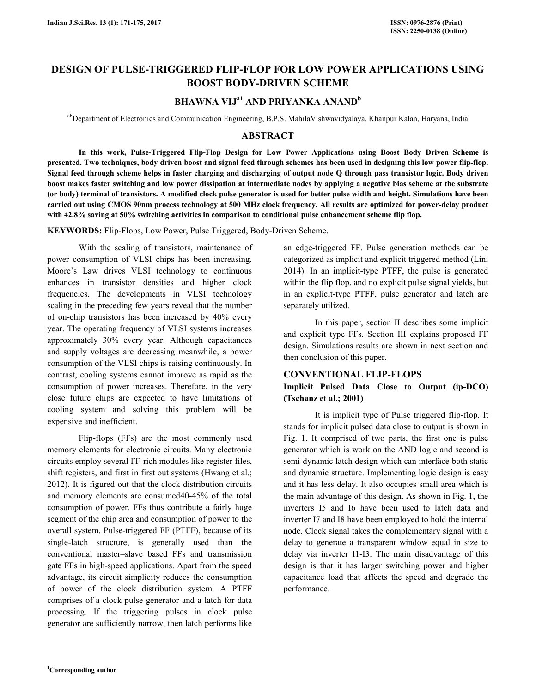# **DESIGN OF PULSE-TRIGGERED FLIP-FLOP FOR LOW POWER APPLICATIONS USING BOOST BODY-DRIVEN SCHEME**

# **BHAWNA VIJa1 AND PRIYANKA ANAND<sup>b</sup>**

abDepartment of Electronics and Communication Engineering, B.P.S. MahilaVishwavidyalaya, Khanpur Kalan, Haryana, India

## **ABSTRACT**

 **In this work, Pulse-Triggered Flip-Flop Design for Low Power Applications using Boost Body Driven Scheme is presented. Two techniques, body driven boost and signal feed through schemes has been used in designing this low power flip-flop. Signal feed through scheme helps in faster charging and discharging of output node Q through pass transistor logic. Body driven boost makes faster switching and low power dissipation at intermediate nodes by applying a negative bias scheme at the substrate (or body) terminal of transistors. A modified clock pulse generator is used for better pulse width and height. Simulations have been carried out using CMOS 90nm process technology at 500 MHz clock frequency. All results are optimized for power-delay product with 42.8% saving at 50% switching activities in comparison to conditional pulse enhancement scheme flip flop.** 

**KEYWORDS:** Flip-Flops, Low Power, Pulse Triggered, Body-Driven Scheme.

 With the scaling of transistors, maintenance of power consumption of VLSI chips has been increasing. Moore's Law drives VLSI technology to continuous enhances in transistor densities and higher clock frequencies. The developments in VLSI technology scaling in the preceding few years reveal that the number of on-chip transistors has been increased by 40% every year. The operating frequency of VLSI systems increases approximately 30% every year. Although capacitances and supply voltages are decreasing meanwhile, a power consumption of the VLSI chips is raising continuously. In contrast, cooling systems cannot improve as rapid as the consumption of power increases. Therefore, in the very close future chips are expected to have limitations of cooling system and solving this problem will be expensive and inefficient.

 Flip-flops (FFs) are the most commonly used memory elements for electronic circuits. Many electronic circuits employ several FF-rich modules like register files, shift registers, and first in first out systems (Hwang et al.; 2012). It is figured out that the clock distribution circuits and memory elements are consumed40-45% of the total consumption of power. FFs thus contribute a fairly huge segment of the chip area and consumption of power to the overall system. Pulse-triggered FF (PTFF), because of its single-latch structure, is generally used than the conventional master–slave based FFs and transmission gate FFs in high-speed applications. Apart from the speed advantage, its circuit simplicity reduces the consumption of power of the clock distribution system. A PTFF comprises of a clock pulse generator and a latch for data processing. If the triggering pulses in clock pulse generator are sufficiently narrow, then latch performs like

an edge-triggered FF. Pulse generation methods can be categorized as implicit and explicit triggered method (Lin; 2014). In an implicit-type PTFF, the pulse is generated within the flip flop, and no explicit pulse signal yields, but in an explicit-type PTFF, pulse generator and latch are separately utilized.

 In this paper, section II describes some implicit and explicit type FFs. Section III explains proposed FF design. Simulations results are shown in next section and then conclusion of this paper.

#### **CONVENTIONAL FLIP-FLOPS**

## **Implicit Pulsed Data Close to Output (ip-DCO) (Tschanz et al.; 2001)**

 It is implicit type of Pulse triggered flip-flop. It stands for implicit pulsed data close to output is shown in Fig. 1. It comprised of two parts, the first one is pulse generator which is work on the AND logic and second is semi-dynamic latch design which can interface both static and dynamic structure. Implementing logic design is easy and it has less delay. It also occupies small area which is the main advantage of this design. As shown in Fig. 1, the inverters I5 and I6 have been used to latch data and inverter I7 and I8 have been employed to hold the internal node. Clock signal takes the complementary signal with a delay to generate a transparent window equal in size to delay via inverter I1-I3. The main disadvantage of this design is that it has larger switching power and higher capacitance load that affects the speed and degrade the performance.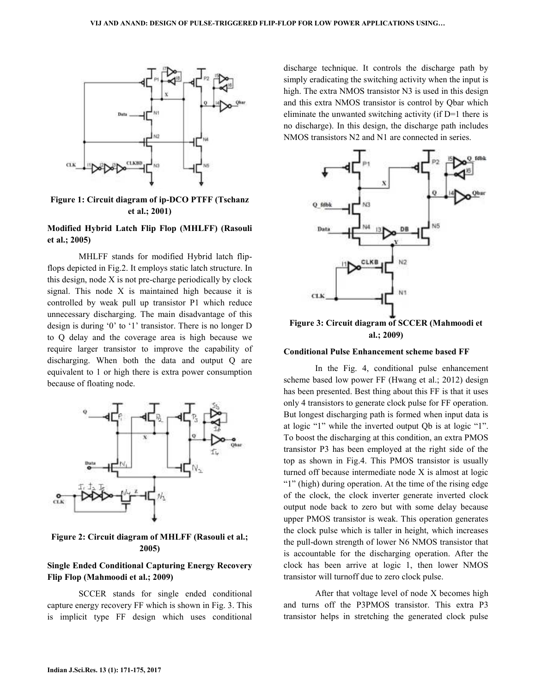

#### **Figure 1: Circuit diagram of ip-DCO PTFF (Tschanz et al.; 2001)**

#### **Modified Hybrid Latch Flip Flop (MHLFF) (MHLFF) (Rasouli et al.; 2005)**

MHLFF stands for modified Hybrid latch flipflops depicted in Fig.2. It employs static latch structure. In this design, node X is not pre-charge periodically by clock signal. This node X is maintained high because it is controlled by weak pull up transistor P1 which reduce unnecessary discharging. The main disadvantage of this design is during '0' to '1' transistor. There is no longer  $D$ to Q delay and the coverage area is high because we to Q delay and the coverage area is high because we require larger transistor to improve the capability of discharging. When both the data and output Q are equivalent to 1 or high there is extra power consumption equivalent to 1 or high there is extra power consumption because of floating node. E. 2. It employs static latch structure. In<br>is not pre-charge periodically by clock<br>X is maintained high because it is



#### **Figure 2: Circuit diagram of MHLFF (Rasouli et al (Rasouli et al.; 2005)**

#### **Single Ended Conditional Capturing Energy Recovery Flip Flop (Mahmoodi et al.; 2009)**

 SCCER stands for single ended conditional SCCER stands for single ended conditional capture energy recovery FF which is shown in Fig. 3. This is implicit type FF design which uses conditional

discharge technique. It controls the discharge path by simply eradicating the switching activity when the input is simply eradicating the switching activity when the input is<br>high. The extra NMOS transistor N3 is used in this design and this extra NMOS transistor is control by Qbar which eliminate the unwanted switching activity (if  $D=1$  there is no discharge). In this design, the discharge path includes NMOS transistors N2 and N1 are connected in series.



**Figure 3: Circuit diagram of SCCER (Mahmoodi et al.; 2009) 2009)**

#### **Conditional Pulse Enhancement scheme based FF**

In the Fig. 4, conditional pulse enhancement In the Fig. 4, conditional pulse enhancement<br>scheme based low power FF (Hwang et al.; 2012) design has been presented. Best thing about this FF is that it uses has been presented. Best thing about this FF is that it uses only 4 transistors to generate clock pulse for FF operation. But longest discharging path is formed when input data is But longest discharging path is formed when input data is at logic "1" while the inverted output Qb is at logic "1". To boost the discharging at this condition, an extra PMOS transistor P3 has been employed at the right side of the top as shown in Fig.4. This PMOS transistor is usually turned off because intermediate node X is almost at logic "1" (high) during operation. At the time of the rising edge of the clock, the clock inverter generate inverted clock output node back to zero but with some delay because upper PMOS transistor is weak. This operation generates the clock pulse which is taller in height, which increases the pull-down strength of lower N6 NMOS transistor that is accountable for the discharging operation. After the clock has been arrive at logic  $1$ , then lower NMOS transistor will turnoff due to zero clock pulse.

After that voltage level of node X becomes high and turns off the P3PMOS transistor. This extra P3 transistor helps in stretching the generated generated clock pulse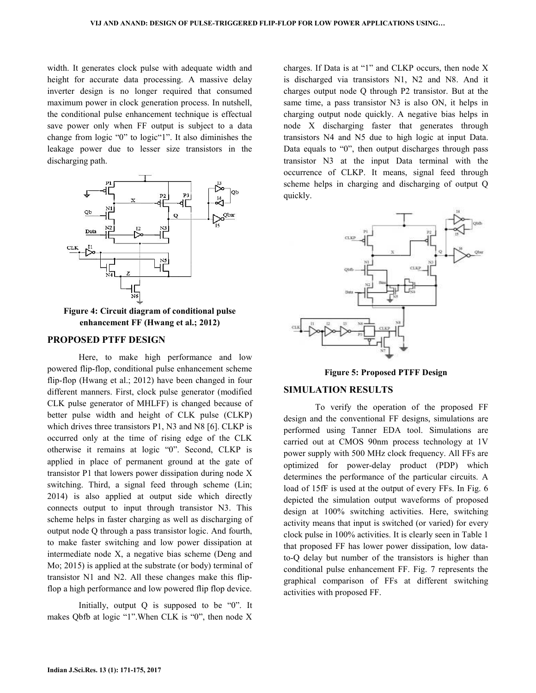width. It generates clock pulse with adequate width and height for accurate data processing. A massive delay inverter design is no longer required that consumed maximum power in clock generation process. In nutshell, the conditional pulse enhancement technique is effectual save power only when FF output is subject to a data save power only when FF output is subject to a data change from logic "0" to logic"1". It also diminishes the leakage power due to lesser size transistors in the discharging path.



**Figure 4: Circuit diagram of conditional pulse Circuit diagram enhancement FF (Hwang et al.; 2012)**

#### **PROPOSED PTFF DESIGN**

Here, to make high performance and low powered flip-flop, conditional pulse enhancement scheme flip-flop (Hwang et al.; 2012) have been changed in four different manners. First, clock pulse generator (modified CLK pulse generator of MHLFF) is changed because of better pulse width and height of CLK pulse (CLKP) which drives three transistors P1, N3 and N8 [6]. CLKP is occurred only at the time of rising edge of the CLK otherwise it remains at logic "0". Second, CLKP is applied in place of permanent ground at the gate of transistor P1 that lowers power dissipation during node X switching. Third, a signal feed through scheme (Lin; 2014) is also applied at output side which directly connects output to input through transistor N3. This scheme helps in faster charging as well as discharging of output node Q through a pass transistor logic. And fourth, to make faster switching and low power dissipation at intermediate node X, a negative bias scheme (Deng and Mo; 2015) is applied at the substrate (or body) terminal of intermediate node X, a negative bias scheme (Deng and Mo; 2015) is applied at the substrate (or body) terminal of transistor N1 and N2. All these changes make this flipflop a high performance and low powered flip flop device. Here, to make high performance and low<br>flip-flop, conditional pulse enhancement scheme<br>(Hwang et al.; 2012) have been changed in four<br>manners. First, clock pulse generator (modified CLK pulse generator of MHLFF) is changed because of better pulse width and height of CLK pulse (CLKP) which drives three transistors P1, N3 and N8 [6]. CLKP is otherwise it remains at logic "0". Second, CLKP is<br>applied in place of permanent ground at the gate of<br>transistor P1 that lowers power dissipation during node X<br>switching. Third, a signal feed through scheme (Lin;<br>2014) is

 Initially, output Q is supposed to be "0". It makes Qbfb at logic "1".When CLK is "0", then node X erformance and low powered flip flop device.<br>ially, output Q is supposed to be "0". It at logic "1".<br>When CLK is "0", then node X

charges. If Data is at "1" and CLKP occurs, then node  $X$ is discharged via transistors N1, N2 and N8. And it charges output node  $Q$  through  $P2$  transistor. But at the same time, a pass transistor N3 is also ON, it helps in charging output node quickly. A negative bias helps in node X discharging faster that generates through transistors N4 and N5 due to high logic at input Data. Data equals to "0", then output discharges through pass transistor N3 at the input Data terminal with the occurrence of CLKP. It means, signal feed through scheme helps in charging and discharging of output Q quickly. 14 and N5 due to high logic at input Data.<br>to "0", then output discharges through pass<br>13 at the input Data terminal with the<br>of CLKP. It means, signal feed through<br>18 in charging and discharging of output Q



**Figure 5: Proposed PT oposed PTFF Design** 

### **SIMULATION RESULTS**

To verify the operation of the proposed FF design and the conventional FF designs, simulations are performed using Tanner EDA tool EDA tool. Simulations are carried out at CMOS 90nm process technology at 1V power supply with 500 MHz clock frequency. All FFs are optimized for power-delay product (PDP) which determines the performance of the particular circuits. A A load of 15fF is used at the output of every FFs. In Fig. 6 depicted the simulation output waveforms of proposed design at 100% switching activities. Here, switching activity means that input is switched (or varied) for every clock pulse in 100% activities. It is clearly seen in Table 1 that proposed FF has lower power dissipation, low datato-Q delay but number of the transistors is higher than conditional pulse enhancement FF. Fig. 7 represents the graphical comparison of FFs at different switching activities with proposed FF.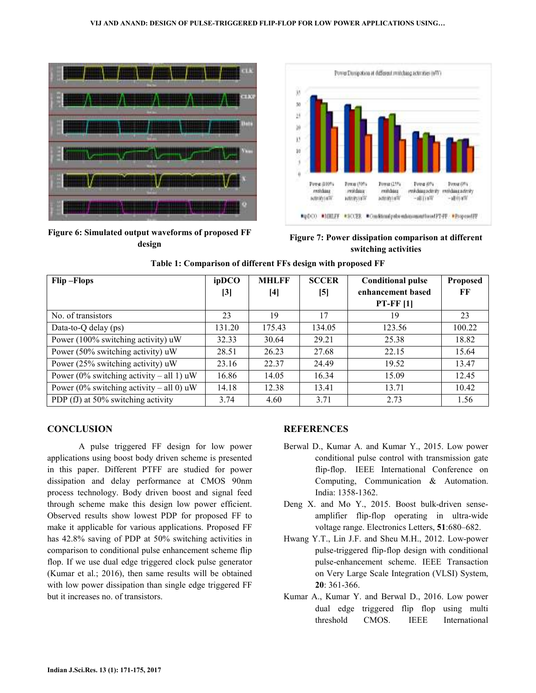#### **VIJ AND ANAND: DESIGN OF PULSE PULSE-TRIGGERED FLIP-FLOP FOR LOW POWER APPLICATIONS USING FLOP APPLICATIONS USING…**



**Figure 6: Simulated output waveforms of proposed FF design** 



Simulated output waveforms of proposed FF **Figure 7: Power dissipation comparison at different**<br>design switching activities **switching activities**

| Table 1: Comparison of different FFs design with proposed FF |        |              |              |                          |          |
|--------------------------------------------------------------|--------|--------------|--------------|--------------------------|----------|
| Flip-Flops                                                   | ipDCO  | <b>MHLFF</b> | <b>SCCER</b> | <b>Conditional pulse</b> | Proposed |
|                                                              | [3]    | $[4]$        | [5]          | enhancement based        | FF       |
|                                                              |        |              |              | $PT$ -FF $[1]$           |          |
| No. of transistors                                           | 23     | 19           | 17           | 19                       | 23       |
| Data-to-Q delay $(ps)$                                       | 131.20 | 175.43       | 134.05       | 123.56                   | 100.22   |
| Power (100% switching activity) uW                           | 32.33  | 30.64        | 29.21        | 25.38                    | 18.82    |
| Power (50% switching activity) uW                            | 28.51  | 26.23        | 27.68        | 22.15                    | 15.64    |
| Power (25% switching activity) uW                            | 23.16  | 22.37        | 24.49        | 19.52                    | 13.47    |
| Power (0% switching activity – all 1) $\mu$ W                | 16.86  | 14.05        | 16.34        | 15.09                    | 12.45    |
| Power (0% switching activity – all 0) $\mu$ W                | 14.18  | 12.38        | 13.41        | 13.71                    | 10.42    |
| PDP (fJ) at 50% switching activity                           | 3.74   | 4.60         | 3.71         | 2.73                     | 1.56     |

#### **CONCLUSION**

A pulse triggered FF design for low power applications using boost body driven scheme is presented in this paper. Different PTFF are studied for power in this paper. Different PTFF are studied for power dissipation and delay performance at CMOS 90nm process technology. Body driven boost and signal feed through scheme make this design low power efficient. Observed results show lowest PDP for proposed FF to Observed results show lowest PDP for proposed FF to make it applicable for various applications. Proposed FF has 42.8% saving of PDP at 50% switching activities in comparison to conditional pulse enhancement scheme flip flop. If we use dual edge triggered clock pulse generator (Kumar et al.; 2016), then same results will be obtained with low power dissipation than single edge triggered FF but it increases no. of transistors. **REFERENCES**<br>ggered FF design for low power<br>rent PTFF are studied for power<br>rent PTFF are studied for power<br>flip-flop.<br>ay performance at CMOS 90nm<br>Body driven boost and signal feed<br>india: 135<br>ce this design low power effic

- Berwal D., Kumar A. and Kumar Y., 2015. Low power conditional pulse control with transmission gate flip-flop. IEEE International Conference on conditional pulse control with transmission gate<br>flip-flop. IEEE International Conference on<br>Computing, Communication & Automation. India: 1358-1362.
- Deng X. and Mo Y., 2015. Boost bulk-driven senseamplifier flip-flop operating in ultra-wide voltage range. Electronics Electronics Letters, **51**:680–682.
- Hwang Y.T., Lin J.F. and Sheu M.H., 2012. Low-power pulse-triggered flip-flop design with conditional pulse-enhancement scheme. IEEE Transaction on Very Large Scale Integration (VLSI) System, **20**: 361-366. on Very Large Scale Integration (VLSI) System,<br>
20: 361-366.<br>
Kumar A., Kumar Y. and Berwal D., 2016. Low power
- dual edge triggered flip flop using multi<br>threshold CMOS. IEEE International threshold CMOS.